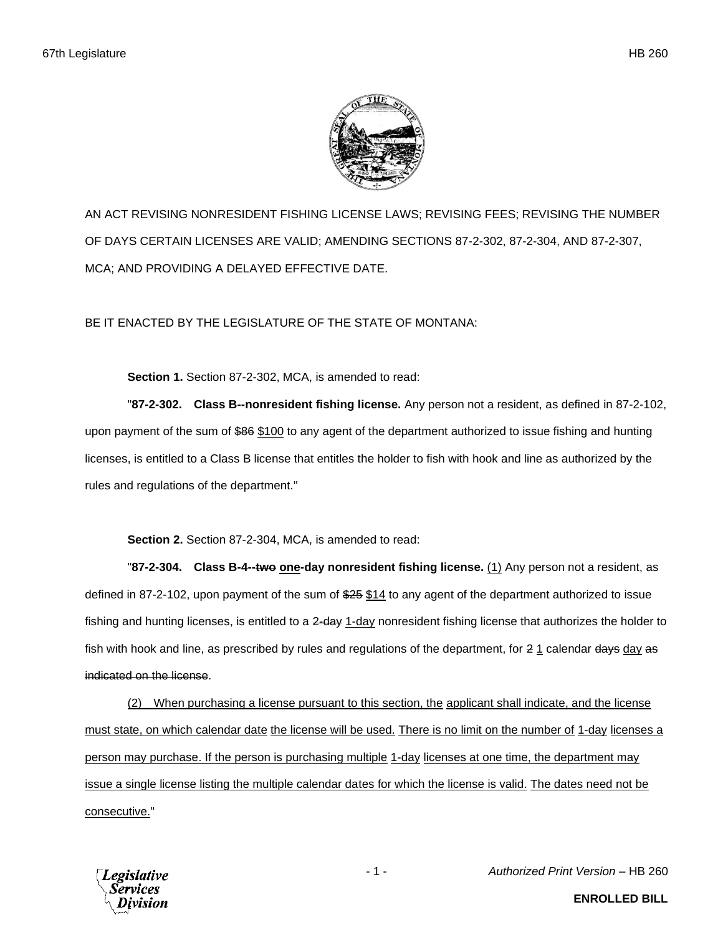

AN ACT REVISING NONRESIDENT FISHING LICENSE LAWS; REVISING FEES; REVISING THE NUMBER OF DAYS CERTAIN LICENSES ARE VALID; AMENDING SECTIONS 87-2-302, 87-2-304, AND 87-2-307, MCA; AND PROVIDING A DELAYED EFFECTIVE DATE.

BE IT ENACTED BY THE LEGISLATURE OF THE STATE OF MONTANA:

**Section 1.** Section 87-2-302, MCA, is amended to read:

"**87-2-302. Class B--nonresident fishing license.** Any person not a resident, as defined in 87-2-102, upon payment of the sum of \$86 \$100 to any agent of the department authorized to issue fishing and hunting licenses, is entitled to a Class B license that entitles the holder to fish with hook and line as authorized by the rules and regulations of the department."

**Section 2.** Section 87-2-304, MCA, is amended to read:

"**87-2-304. Class B-4--two one-day nonresident fishing license.** (1) Any person not a resident, as defined in 87-2-102, upon payment of the sum of \$25 \$14 to any agent of the department authorized to issue fishing and hunting licenses, is entitled to a 2-day 1-day nonresident fishing license that authorizes the holder to fish with hook and line, as prescribed by rules and regulations of the department, for  $2 \frac{1}{1}$  calendar days day as indicated on the license.

(2) When purchasing a license pursuant to this section, the applicant shall indicate, and the license must state, on which calendar date the license will be used. There is no limit on the number of 1-day licenses a person may purchase. If the person is purchasing multiple 1-day licenses at one time, the department may issue a single license listing the multiple calendar dates for which the license is valid. The dates need not be consecutive."

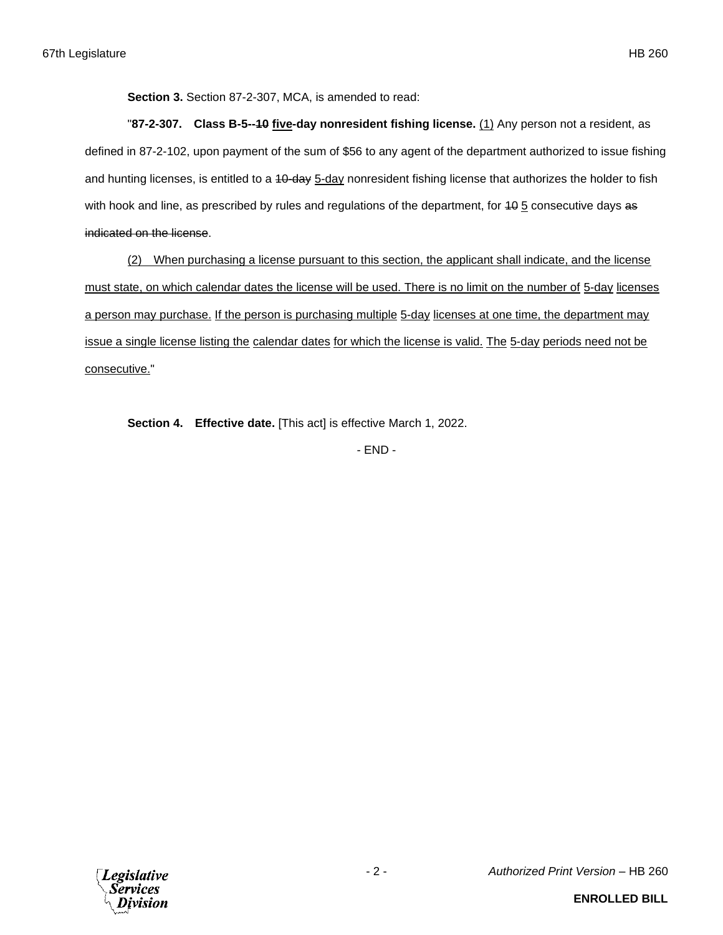**Section 3.** Section 87-2-307, MCA, is amended to read:

"**87-2-307. Class B-5--10 five-day nonresident fishing license.** (1) Any person not a resident, as defined in 87-2-102, upon payment of the sum of \$56 to any agent of the department authorized to issue fishing and hunting licenses, is entitled to a 40-day 5-day nonresident fishing license that authorizes the holder to fish with hook and line, as prescribed by rules and regulations of the department, for  $40.5$  consecutive days as indicated on the license.

(2) When purchasing a license pursuant to this section, the applicant shall indicate, and the license must state, on which calendar dates the license will be used. There is no limit on the number of 5-day licenses a person may purchase. If the person is purchasing multiple 5-day licenses at one time, the department may issue a single license listing the calendar dates for which the license is valid. The 5-day periods need not be consecutive."

**Section 4. Effective date.** [This act] is effective March 1, 2022.

- END -

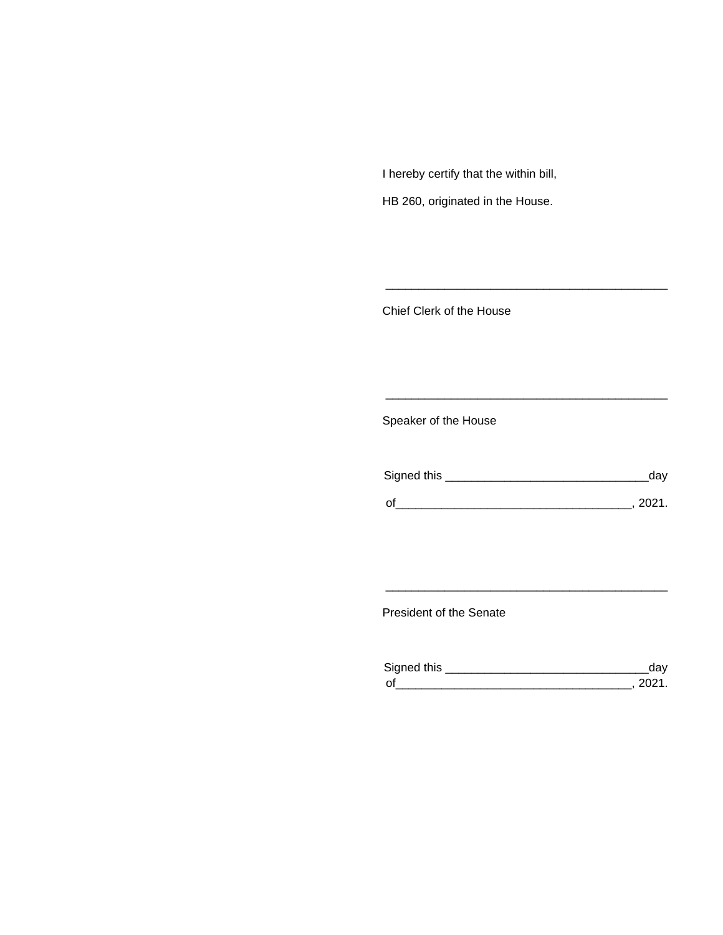I hereby certify that the within bill,

HB 260, originated in the House.

Chief Clerk of the House

Speaker of the House

| Signed this | dav    |
|-------------|--------|
| $\Omega'$   | -2021. |

\_\_\_\_\_\_\_\_\_\_\_\_\_\_\_\_\_\_\_\_\_\_\_\_\_\_\_\_\_\_\_\_\_\_\_\_\_\_\_\_\_\_\_

\_\_\_\_\_\_\_\_\_\_\_\_\_\_\_\_\_\_\_\_\_\_\_\_\_\_\_\_\_\_\_\_\_\_\_\_\_\_\_\_\_\_\_

President of the Senate

| Sianed this |  |
|-------------|--|
| $\Omega$    |  |

\_\_\_\_\_\_\_\_\_\_\_\_\_\_\_\_\_\_\_\_\_\_\_\_\_\_\_\_\_\_\_\_\_\_\_\_\_\_\_\_\_\_\_